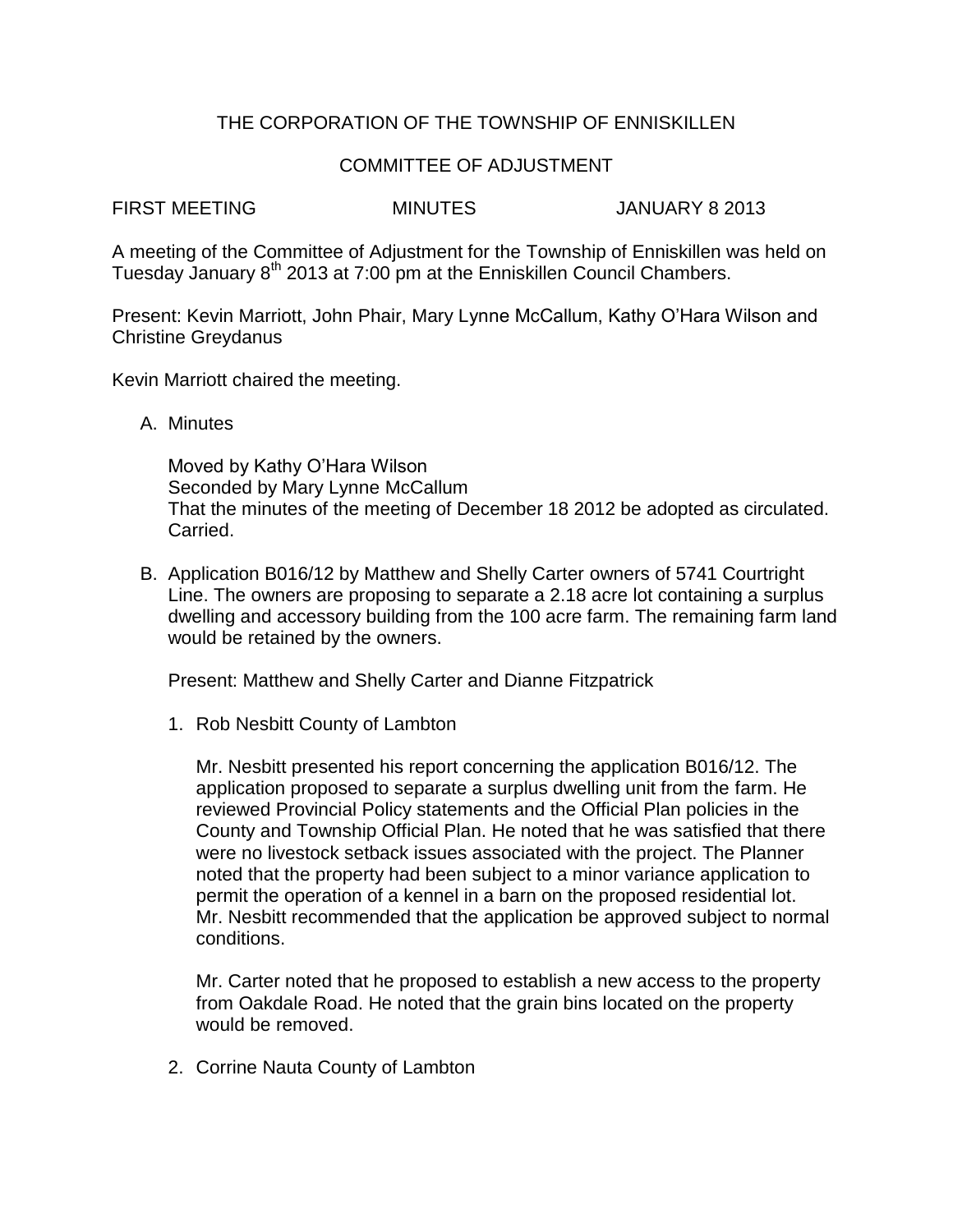# THE CORPORATION OF THE TOWNSHIP OF ENNISKILLEN

# COMMITTEE OF ADJUSTMENT

A meeting of the Committee of Adjustment for the Township of Enniskillen was held on

FIRST MEETING MINUTES JANUARY 8 2013

Tuesday January 8<sup>th</sup> 2013 at 7:00 pm at the Enniskillen Council Chambers.

Present: Kevin Marriott, John Phair, Mary Lynne McCallum, Kathy O'Hara Wilson and Christine Greydanus

Kevin Marriott chaired the meeting.

A. Minutes

Moved by Kathy O'Hara Wilson Seconded by Mary Lynne McCallum That the minutes of the meeting of December 18 2012 be adopted as circulated. Carried.

B. Application B016/12 by Matthew and Shelly Carter owners of 5741 Courtright Line. The owners are proposing to separate a 2.18 acre lot containing a surplus dwelling and accessory building from the 100 acre farm. The remaining farm land would be retained by the owners.

Present: Matthew and Shelly Carter and Dianne Fitzpatrick

1. Rob Nesbitt County of Lambton

Mr. Nesbitt presented his report concerning the application B016/12. The application proposed to separate a surplus dwelling unit from the farm. He reviewed Provincial Policy statements and the Official Plan policies in the County and Township Official Plan. He noted that he was satisfied that there were no livestock setback issues associated with the project. The Planner noted that the property had been subject to a minor variance application to permit the operation of a kennel in a barn on the proposed residential lot. Mr. Nesbitt recommended that the application be approved subject to normal conditions.

Mr. Carter noted that he proposed to establish a new access to the property from Oakdale Road. He noted that the grain bins located on the property would be removed.

2. Corrine Nauta County of Lambton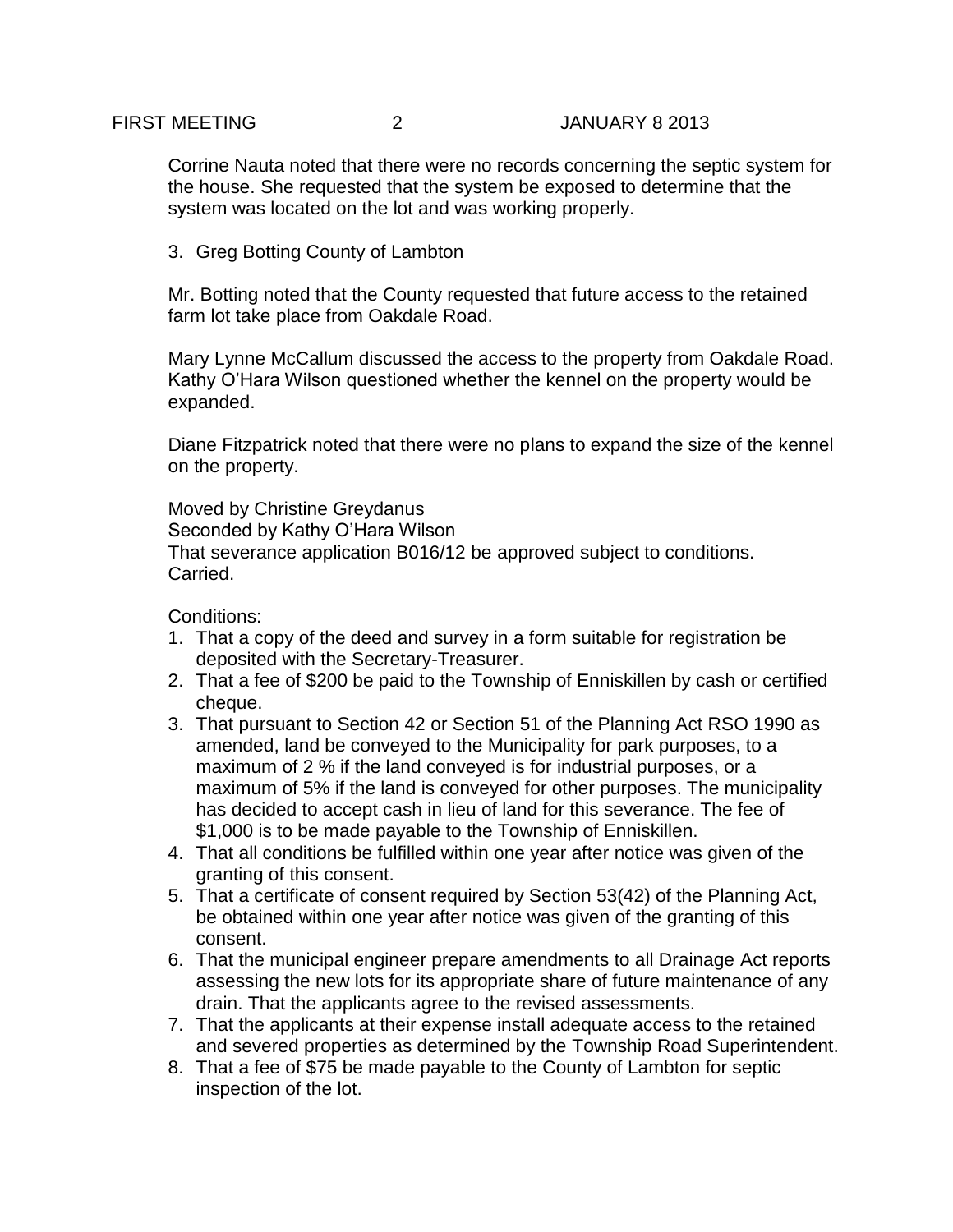### FIRST MEETING 2 JANUARY 8 2013

Corrine Nauta noted that there were no records concerning the septic system for the house. She requested that the system be exposed to determine that the system was located on the lot and was working properly.

## 3. Greg Botting County of Lambton

Mr. Botting noted that the County requested that future access to the retained farm lot take place from Oakdale Road.

Mary Lynne McCallum discussed the access to the property from Oakdale Road. Kathy O'Hara Wilson questioned whether the kennel on the property would be expanded.

Diane Fitzpatrick noted that there were no plans to expand the size of the kennel on the property.

Moved by Christine Greydanus Seconded by Kathy O'Hara Wilson That severance application B016/12 be approved subject to conditions. Carried.

Conditions:

- 1. That a copy of the deed and survey in a form suitable for registration be deposited with the Secretary-Treasurer.
- 2. That a fee of \$200 be paid to the Township of Enniskillen by cash or certified cheque.
- 3. That pursuant to Section 42 or Section 51 of the Planning Act RSO 1990 as amended, land be conveyed to the Municipality for park purposes, to a maximum of 2 % if the land conveyed is for industrial purposes, or a maximum of 5% if the land is conveyed for other purposes. The municipality has decided to accept cash in lieu of land for this severance. The fee of \$1,000 is to be made payable to the Township of Enniskillen.
- 4. That all conditions be fulfilled within one year after notice was given of the granting of this consent.
- 5. That a certificate of consent required by Section 53(42) of the Planning Act, be obtained within one year after notice was given of the granting of this consent.
- 6. That the municipal engineer prepare amendments to all Drainage Act reports assessing the new lots for its appropriate share of future maintenance of any drain. That the applicants agree to the revised assessments.
- 7. That the applicants at their expense install adequate access to the retained and severed properties as determined by the Township Road Superintendent.
- 8. That a fee of \$75 be made payable to the County of Lambton for septic inspection of the lot.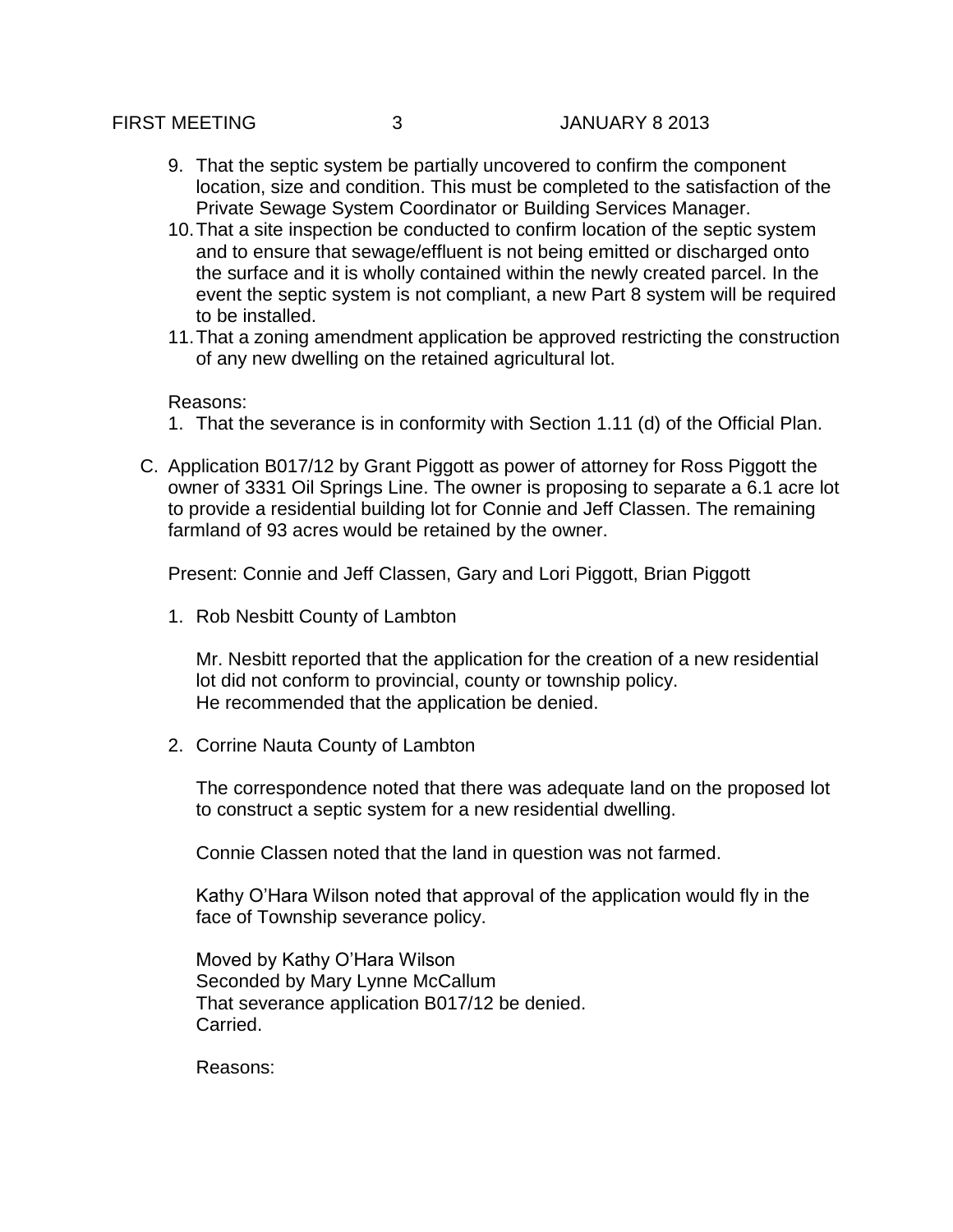- 9. That the septic system be partially uncovered to confirm the component location, size and condition. This must be completed to the satisfaction of the Private Sewage System Coordinator or Building Services Manager.
- 10.That a site inspection be conducted to confirm location of the septic system and to ensure that sewage/effluent is not being emitted or discharged onto the surface and it is wholly contained within the newly created parcel. In the event the septic system is not compliant, a new Part 8 system will be required to be installed.
- 11.That a zoning amendment application be approved restricting the construction of any new dwelling on the retained agricultural lot.

Reasons:

- 1. That the severance is in conformity with Section 1.11 (d) of the Official Plan.
- C. Application B017/12 by Grant Piggott as power of attorney for Ross Piggott the owner of 3331 Oil Springs Line. The owner is proposing to separate a 6.1 acre lot to provide a residential building lot for Connie and Jeff Classen. The remaining farmland of 93 acres would be retained by the owner.

Present: Connie and Jeff Classen, Gary and Lori Piggott, Brian Piggott

1. Rob Nesbitt County of Lambton

Mr. Nesbitt reported that the application for the creation of a new residential lot did not conform to provincial, county or township policy. He recommended that the application be denied.

2. Corrine Nauta County of Lambton

The correspondence noted that there was adequate land on the proposed lot to construct a septic system for a new residential dwelling.

Connie Classen noted that the land in question was not farmed.

Kathy O'Hara Wilson noted that approval of the application would fly in the face of Township severance policy.

Moved by Kathy O'Hara Wilson Seconded by Mary Lynne McCallum That severance application B017/12 be denied. Carried.

Reasons: